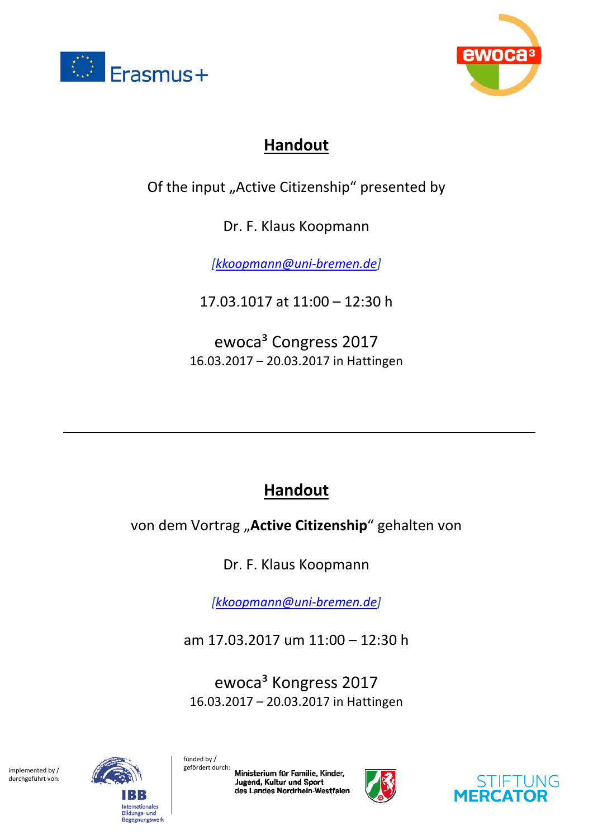



## **Handout**

Of the input "Active Citizenship" presented by

Dr. F. Klaus Koopmann

*[kkoopmann@uni‐bremen.de]*

17.03.1017 at 11:00 – 12:30 h

ewoca<sup>3</sup> Congress 2017 16.03.2017 – 20.03.2017 in Hattingen

## **Handout**

von dem Vortrag "Active Citizenship" gehalten von

Dr. F. Klaus Koopmann

*[kkoopmann@uni‐bremen.de]*

am 17.03.2017 um 11:00 – 12:30 h

ewoca<sup>3</sup> Kongress 2017 16.03.2017 – 20.03.2017 in Hattingen





funded by /



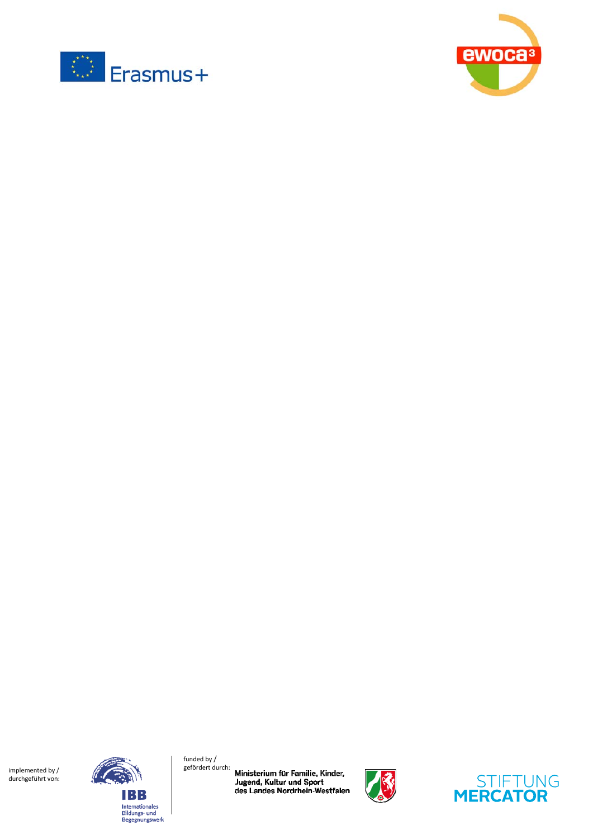



durchgeführt von:



funded by /



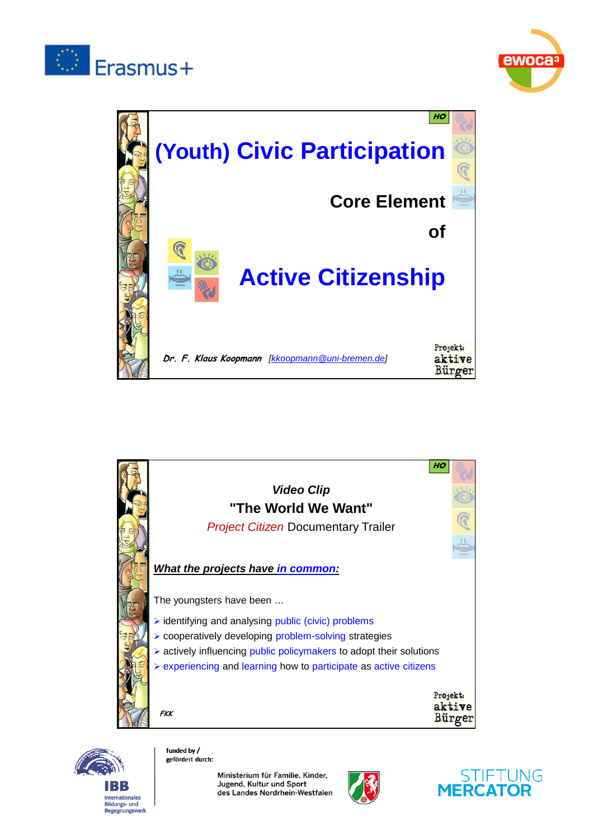











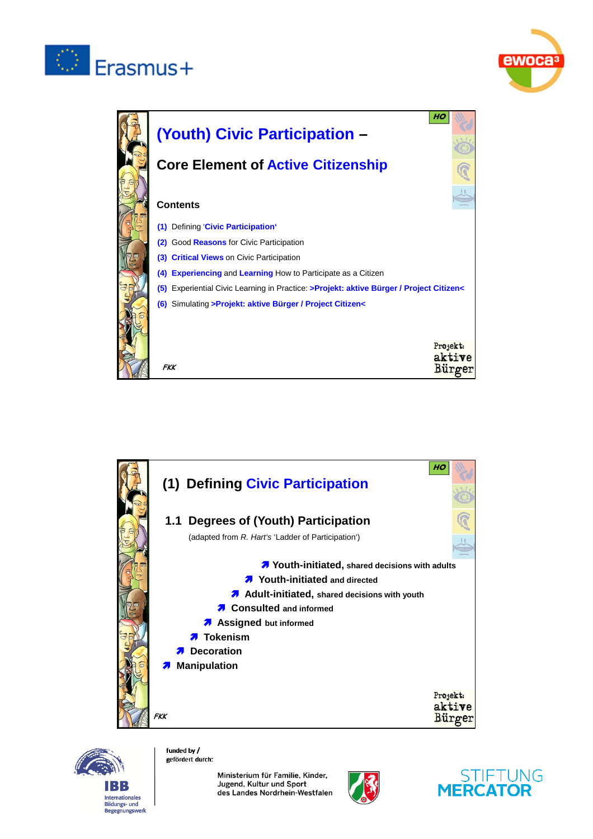



| (Youth) Civic Participation -                                                           | н                  |
|-----------------------------------------------------------------------------------------|--------------------|
| <b>Core Element of Active Citizenship</b>                                               |                    |
| <b>Contents</b>                                                                         |                    |
| (1) Defining 'Civic Participation'                                                      |                    |
| (2) Good Reasons for Civic Participation                                                |                    |
| (3) Critical Views on Civic Participation                                               |                    |
| <b>Experiencing and Learning How to Participate as a Citizen</b><br>(4)                 |                    |
| (5) Experiential Civic Learning in Practice: >Projekt: aktive Bürger / Project Citizen< |                    |
| (6) Simulating > Projekt: aktive Bürger / Project Citizen<                              |                    |
|                                                                                         |                    |
|                                                                                         | Projekt:<br>aktive |
| <b>FKK</b>                                                                              | Bürger             |







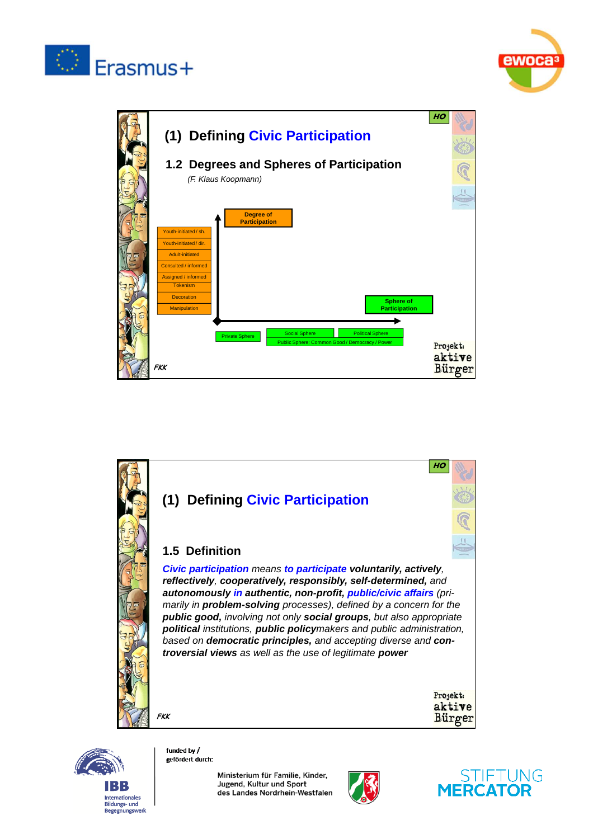











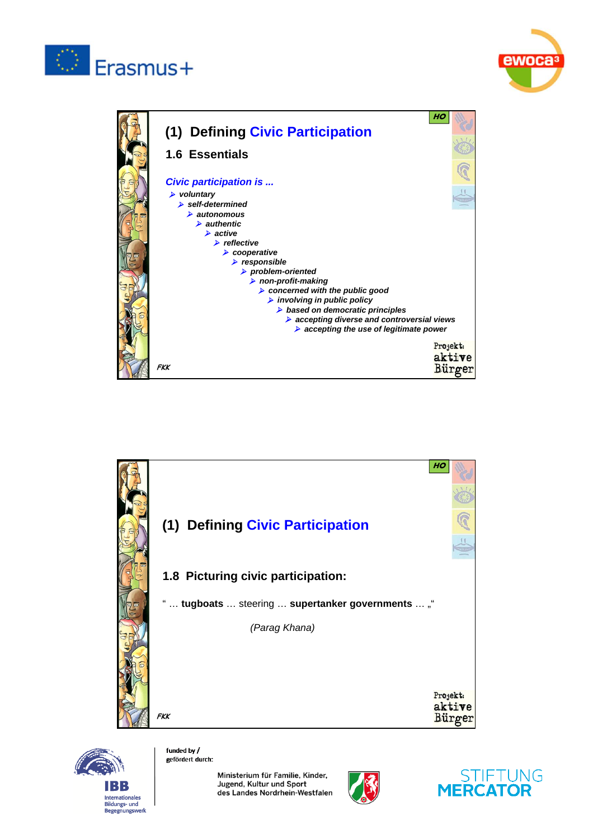











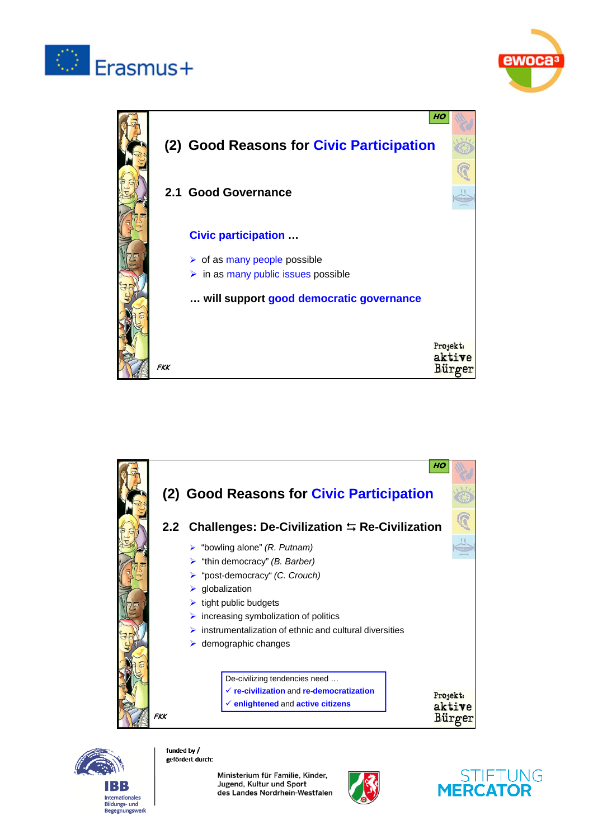











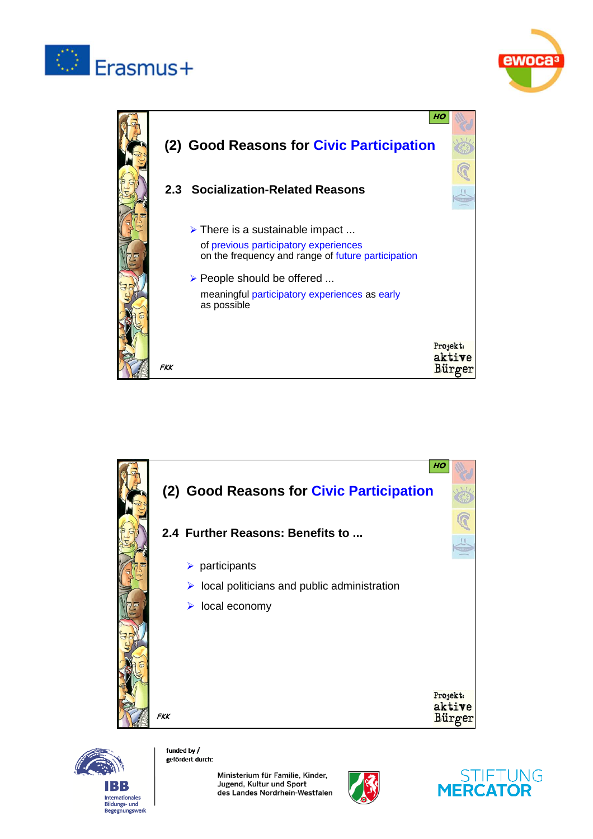











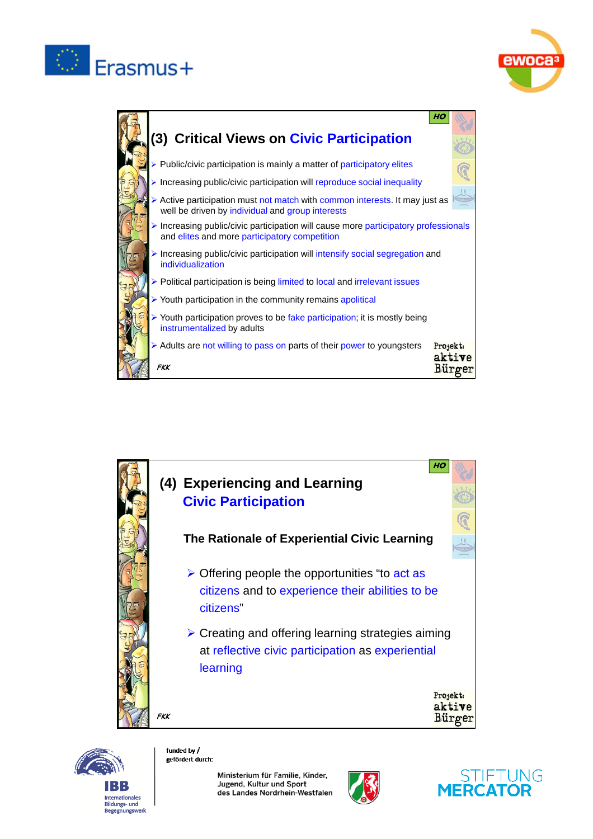











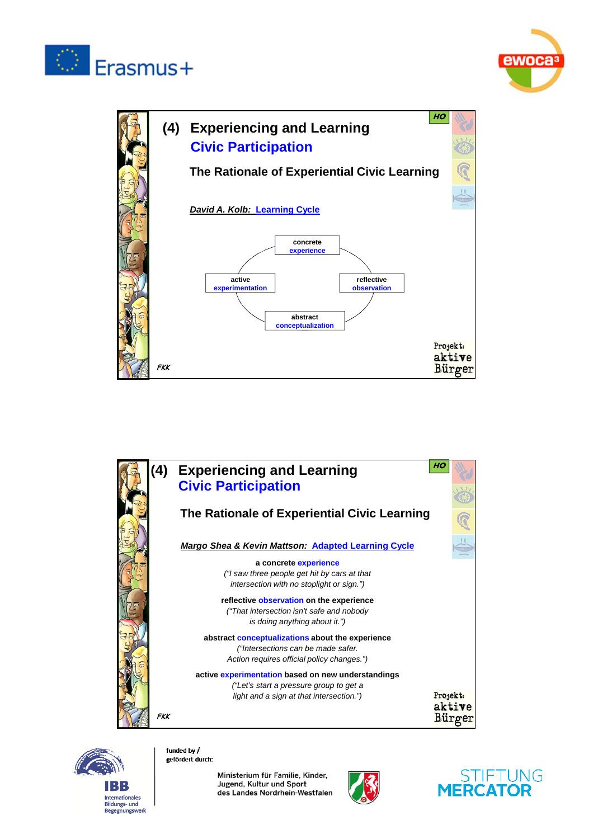











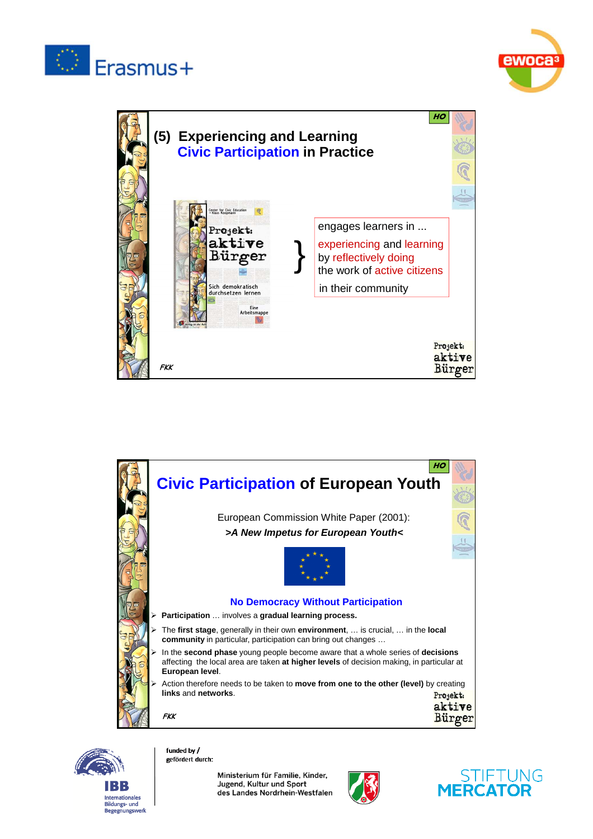











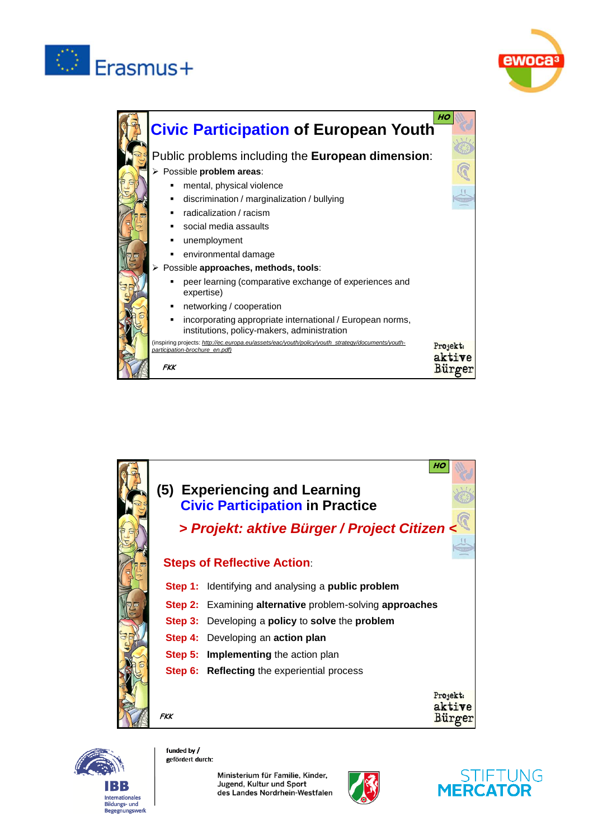











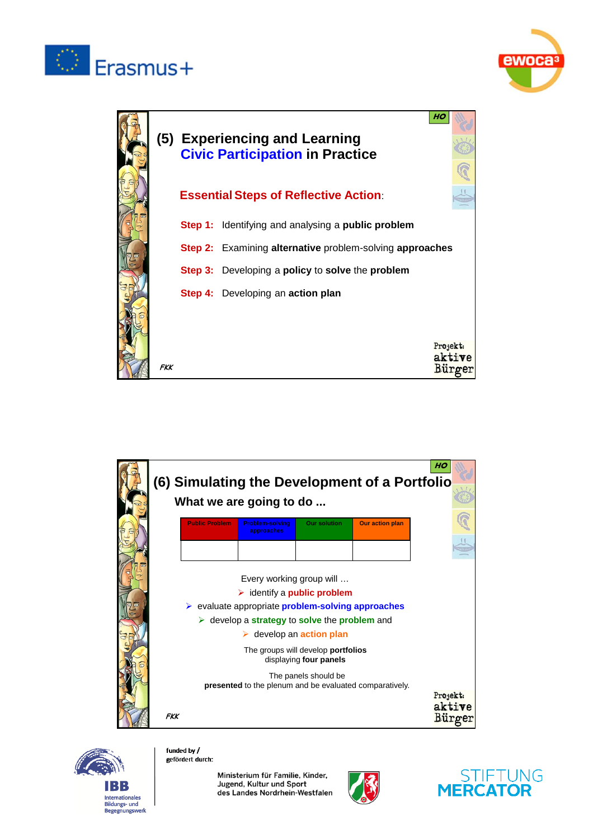











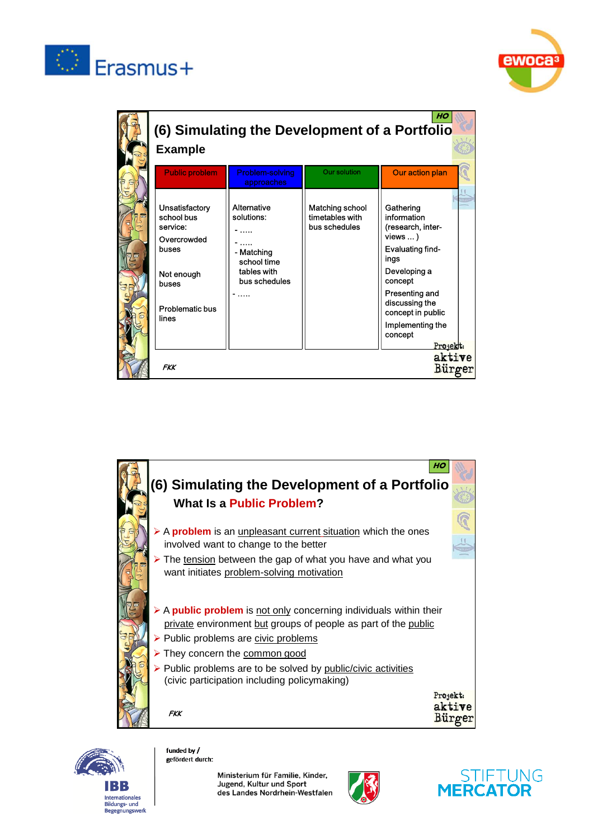











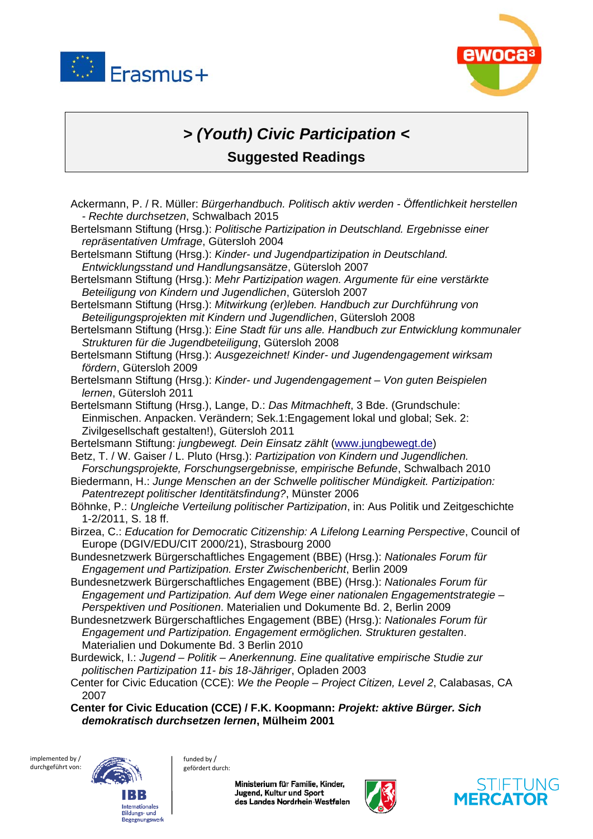



## *> (Youth) Civic Participation <*

## **Suggested Readings**

| Ackermann, P. / R. Müller: Bürgerhandbuch. Politisch aktiv werden - Öffentlichkeit herstellen<br>- Rechte durchsetzen, Schwalbach 2015                                                                                              |
|-------------------------------------------------------------------------------------------------------------------------------------------------------------------------------------------------------------------------------------|
| Bertelsmann Stiftung (Hrsg.): Politische Partizipation in Deutschland. Ergebnisse einer<br>repräsentativen Umfrage, Gütersloh 2004                                                                                                  |
| Bertelsmann Stiftung (Hrsg.): Kinder- und Jugendpartizipation in Deutschland.<br>Entwicklungsstand und Handlungsansätze, Gütersloh 2007                                                                                             |
| Bertelsmann Stiftung (Hrsg.): Mehr Partizipation wagen. Argumente für eine verstärkte<br>Beteiligung von Kindern und Jugendlichen, Gütersloh 2007                                                                                   |
| Bertelsmann Stiftung (Hrsg.): Mitwirkung (er)leben. Handbuch zur Durchführung von                                                                                                                                                   |
| Beteiligungsprojekten mit Kindern und Jugendlichen, Gütersloh 2008<br>Bertelsmann Stiftung (Hrsg.): Eine Stadt für uns alle. Handbuch zur Entwicklung kommunaler                                                                    |
| Strukturen für die Jugendbeteiligung, Gütersloh 2008<br>Bertelsmann Stiftung (Hrsg.): Ausgezeichnet! Kinder- und Jugendengagement wirksam                                                                                           |
| fördern, Gütersloh 2009<br>Bertelsmann Stiftung (Hrsg.): Kinder- und Jugendengagement - Von guten Beispielen<br>lernen, Gütersloh 2011                                                                                              |
| Bertelsmann Stiftung (Hrsg.), Lange, D.: Das Mitmachheft, 3 Bde. (Grundschule:<br>Einmischen. Anpacken. Verändern; Sek.1:Engagement lokal und global; Sek. 2:                                                                       |
| Zivilgesellschaft gestalten!), Gütersloh 2011                                                                                                                                                                                       |
| Bertelsmann Stiftung: jungbewegt. Dein Einsatz zählt (www.jungbewegt.de)<br>Betz, T. / W. Gaiser / L. Pluto (Hrsg.): Partizipation von Kindern und Jugendlichen.                                                                    |
| Forschungsprojekte, Forschungsergebnisse, empirische Befunde, Schwalbach 2010<br>Biedermann, H.: Junge Menschen an der Schwelle politischer Mündigkeit. Partizipation:<br>Patentrezept politischer Identitätsfindung?, Münster 2006 |
| Böhnke, P.: Ungleiche Verteilung politischer Partizipation, in: Aus Politik und Zeitgeschichte<br>1-2/2011, S. 18 ff.                                                                                                               |
| Birzea, C.: Education for Democratic Citizenship: A Lifelong Learning Perspective, Council of<br>Europe (DGIV/EDU/CIT 2000/21), Strasbourg 2000                                                                                     |
| Bundesnetzwerk Bürgerschaftliches Engagement (BBE) (Hrsg.): Nationales Forum für<br>Engagement und Partizipation. Erster Zwischenbericht, Berlin 2009                                                                               |
| Bundesnetzwerk Bürgerschaftliches Engagement (BBE) (Hrsg.): Nationales Forum für<br>Engagement und Partizipation. Auf dem Wege einer nationalen Engagementstrategie -                                                               |
| Perspektiven und Positionen. Materialien und Dokumente Bd. 2, Berlin 2009                                                                                                                                                           |
| Bundesnetzwerk Bürgerschaftliches Engagement (BBE) (Hrsg.): Nationales Forum für<br>Engagement und Partizipation. Engagement ermöglichen. Strukturen gestalten.<br>Materialien und Dokumente Bd. 3 Berlin 2010                      |
| Burdewick, I.: Jugend - Politik - Anerkennung. Eine qualitative empirische Studie zur<br>politischen Partizipation 11- bis 18-Jähriger, Opladen 2003                                                                                |
| Center for Civic Education (CCE): We the People - Project Citizen, Level 2, Calabasas, CA<br>2007                                                                                                                                   |
| Center for Civic Education (CCE) / F.K. Koopmann: Projekt: aktive Bürger. Sich<br>demokratisch durchsetzen lernen, Mülheim 2001                                                                                                     |
|                                                                                                                                                                                                                                     |
| d by /<br>funded by /<br><b>REAL AND STREET</b>                                                                                                                                                                                     |

implemented by / durchgeführt von:



gefördert durch: